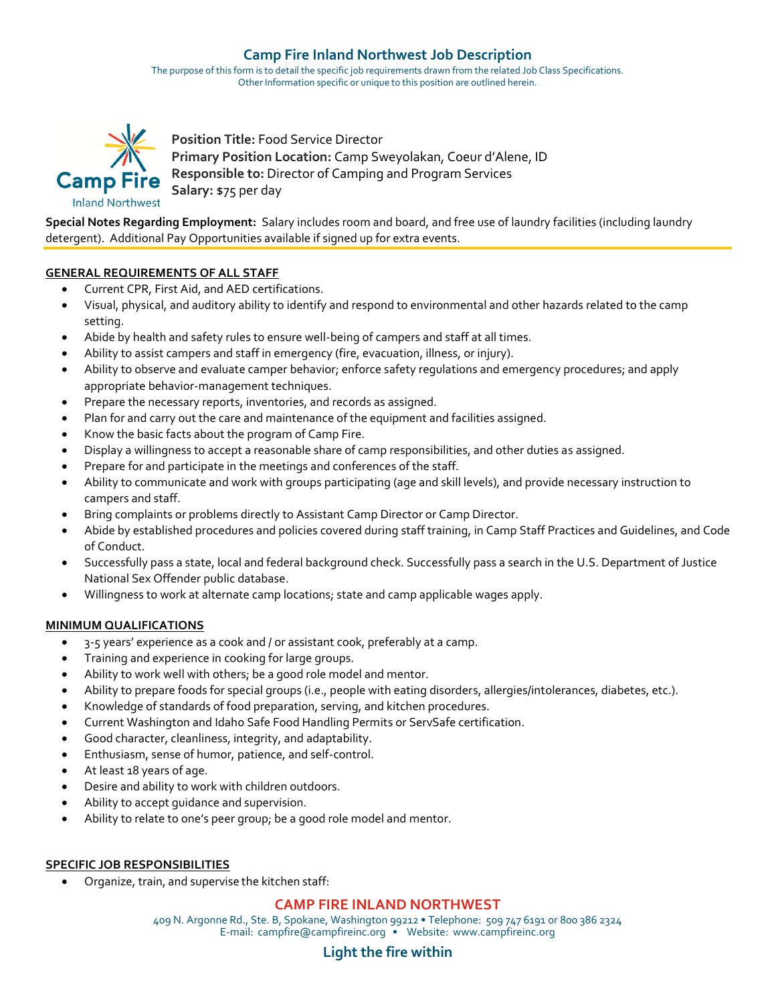# **Camp Fire Inland Northwest Job Description**

The purpose of this form is to detail the specific job requirements drawn from the related Job Class Specifications. Other Information specific or unique to this position are outlined herein.



**Position Title:** Food Service Director **Primary Position Location:** Camp Sweyolakan, Coeur d'Alene, ID **Camp Fire** Responsible to: Director of Camping and Program Services **Salary:** \$75 per day

**Special Notes Regarding Employment:** Salary includes room and board, and free use of laundry facilities (including laundry detergent). Additional Pay Opportunities available if signed up for extra events.

#### **GENERAL REQUIREMENTS OF ALL STAFF**

- Current CPR, First Aid, and AED certifications.
- Visual, physical, and auditory ability to identify and respond to environmental and other hazards related to the camp setting.
- Abide by health and safety rules to ensure well-being of campers and staff at all times.
- Ability to assist campers and staff in emergency (fire, evacuation, illness, or injury).
- Ability to observe and evaluate camper behavior; enforce safety regulations and emergency procedures; and apply appropriate behavior-management techniques.
- Prepare the necessary reports, inventories, and records as assigned.
- Plan for and carry out the care and maintenance of the equipment and facilities assigned.
- Know the basic facts about the program of Camp Fire.
- Display a willingness to accept a reasonable share of camp responsibilities, and other duties as assigned.
- Prepare for and participate in the meetings and conferences of the staff.
- Ability to communicate and work with groups participating (age and skill levels), and provide necessary instruction to campers and staff.
- Bring complaints or problems directly to Assistant Camp Director or Camp Director.
- Abide by established procedures and policies covered during staff training, in Camp Staff Practices and Guidelines, and Code of Conduct.
- Successfully pass a state, local and federal background check. Successfully pass a search in the U.S. Department of Justice National Sex Offender public database.
- Willingness to work at alternate camp locations; state and camp applicable wages apply.

### **MINIMUM QUALIFICATIONS**

- 3-5 years' experience as a cook and / or assistant cook, preferably at a camp.
- Training and experience in cooking for large groups.
- Ability to work well with others; be a good role model and mentor.
- Ability to prepare foods for special groups (i.e., people with eating disorders, allergies/intolerances, diabetes, etc.).
- Knowledge of standards of food preparation, serving, and kitchen procedures.
- Current Washington and Idaho Safe Food Handling Permits or ServSafe certification.
- Good character, cleanliness, integrity, and adaptability.
- Enthusiasm, sense of humor, patience, and self-control.
- At least 18 years of age.
- Desire and ability to work with children outdoors.
- Ability to accept guidance and supervision.
- Ability to relate to one's peer group; be a good role model and mentor.

#### **SPECIFIC JOB RESPONSIBILITIES**

• Organize, train, and supervise the kitchen staff:

### **CAMP FIRE INLAND NORTHWEST**

409 N. Argonne Rd., Ste. B, Spokane, Washington 99212 • Telephone: 509 747 6191 or 800 386 2324 E-mail: campfire@campfireinc.org • Website: www.campfireinc.org

### **Light the fire within**